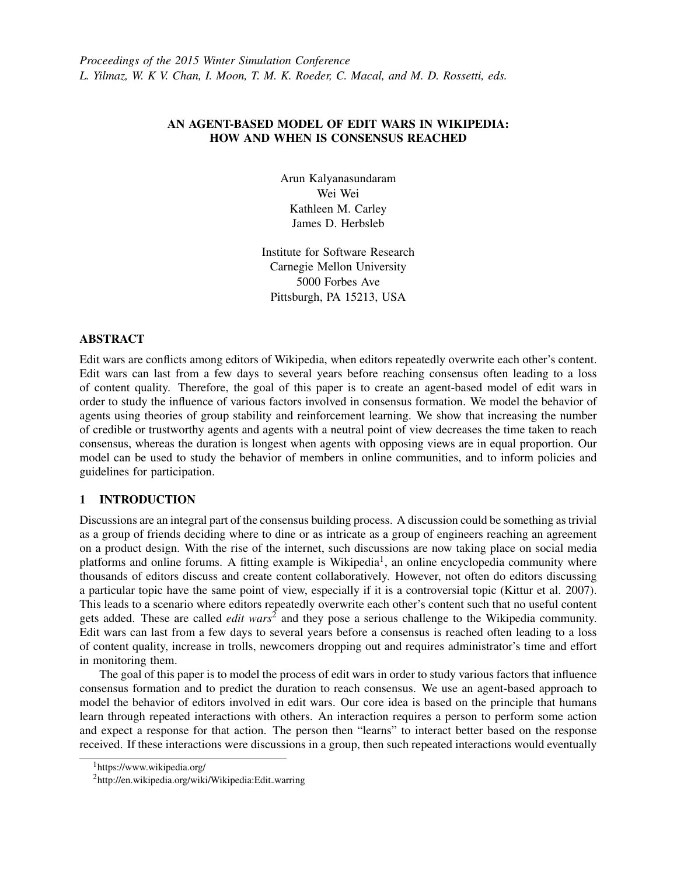# AN AGENT-BASED MODEL OF EDIT WARS IN WIKIPEDIA: HOW AND WHEN IS CONSENSUS REACHED

Arun Kalyanasundaram Wei Wei Kathleen M. Carley James D. Herbsleb

Institute for Software Research Carnegie Mellon University 5000 Forbes Ave Pittsburgh, PA 15213, USA

## ABSTRACT

Edit wars are conflicts among editors of Wikipedia, when editors repeatedly overwrite each other's content. Edit wars can last from a few days to several years before reaching consensus often leading to a loss of content quality. Therefore, the goal of this paper is to create an agent-based model of edit wars in order to study the influence of various factors involved in consensus formation. We model the behavior of agents using theories of group stability and reinforcement learning. We show that increasing the number of credible or trustworthy agents and agents with a neutral point of view decreases the time taken to reach consensus, whereas the duration is longest when agents with opposing views are in equal proportion. Our model can be used to study the behavior of members in online communities, and to inform policies and guidelines for participation.

# 1 INTRODUCTION

Discussions are an integral part of the consensus building process. A discussion could be something as trivial as a group of friends deciding where to dine or as intricate as a group of engineers reaching an agreement on a product design. With the rise of the internet, such discussions are now taking place on social media platforms and online forums. A fitting example is Wikipedia<sup>[1](#page-0-0)</sup>, an online encyclopedia community where thousands of editors discuss and create content collaboratively. However, not often do editors discussing a particular topic have the same point of view, especially if it is a controversial topic [\(Kittur et al. 2007\)](#page-10-0). This leads to a scenario where editors repeatedly overwrite each other's content such that no useful content gets added. These are called *edit wars*[2](#page-0-1) and they pose a serious challenge to the Wikipedia community. Edit wars can last from a few days to several years before a consensus is reached often leading to a loss of content quality, increase in trolls, newcomers dropping out and requires administrator's time and effort in monitoring them.

The goal of this paper is to model the process of edit wars in order to study various factors that influence consensus formation and to predict the duration to reach consensus. We use an agent-based approach to model the behavior of editors involved in edit wars. Our core idea is based on the principle that humans learn through repeated interactions with others. An interaction requires a person to perform some action and expect a response for that action. The person then "learns" to interact better based on the response received. If these interactions were discussions in a group, then such repeated interactions would eventually

<span id="page-0-0"></span><sup>1</sup>https://www.wikipedia.org/

<span id="page-0-1"></span><sup>2</sup>http://en.wikipedia.org/wiki/Wikipedia:Edit warring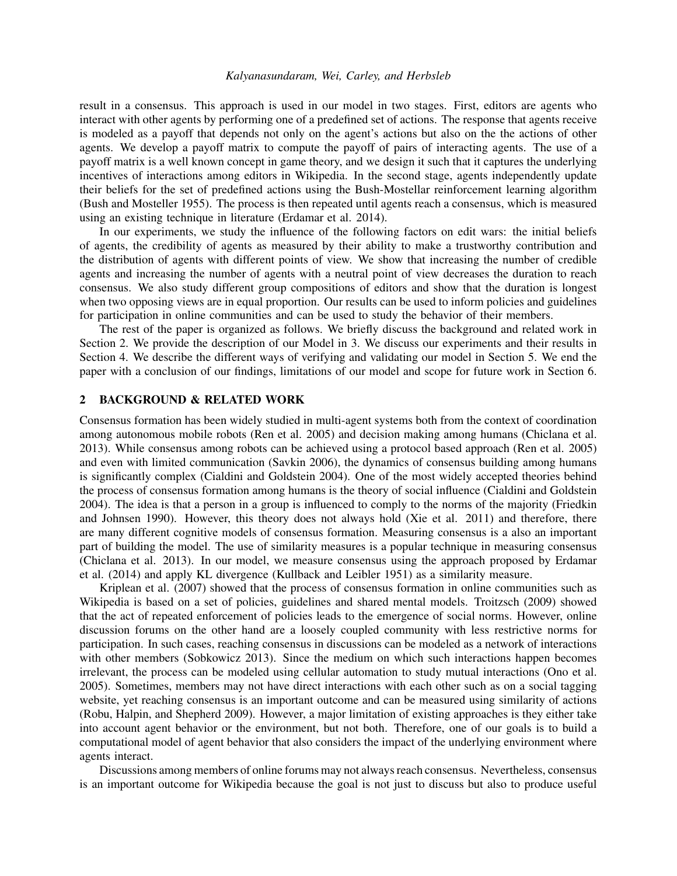result in a consensus. This approach is used in our model in two stages. First, editors are agents who interact with other agents by performing one of a predefined set of actions. The response that agents receive is modeled as a payoff that depends not only on the agent's actions but also on the the actions of other agents. We develop a payoff matrix to compute the payoff of pairs of interacting agents. The use of a payoff matrix is a well known concept in game theory, and we design it such that it captures the underlying incentives of interactions among editors in Wikipedia. In the second stage, agents independently update their beliefs for the set of predefined actions using the Bush-Mostellar reinforcement learning algorithm [\(Bush and Mosteller 1955\)](#page-10-1). The process is then repeated until agents reach a consensus, which is measured using an existing technique in literature [\(Erdamar et al. 2014\)](#page-10-2).

In our experiments, we study the influence of the following factors on edit wars: the initial beliefs of agents, the credibility of agents as measured by their ability to make a trustworthy contribution and the distribution of agents with different points of view. We show that increasing the number of credible agents and increasing the number of agents with a neutral point of view decreases the duration to reach consensus. We also study different group compositions of editors and show that the duration is longest when two opposing views are in equal proportion. Our results can be used to inform policies and guidelines for participation in online communities and can be used to study the behavior of their members.

The rest of the paper is organized as follows. We briefly discuss the background and related work in Section [2.](#page-1-0) We provide the description of our Model in [3.](#page-2-0) We discuss our experiments and their results in Section [4.](#page-4-0) We describe the different ways of verifying and validating our model in Section [5.](#page-9-0) We end the paper with a conclusion of our findings, limitations of our model and scope for future work in Section [6.](#page-10-3)

## <span id="page-1-0"></span>2 BACKGROUND & RELATED WORK

Consensus formation has been widely studied in multi-agent systems both from the context of coordination among autonomous mobile robots [\(Ren et al. 2005\)](#page-11-0) and decision making among humans [\(Chiclana et al.](#page-10-4) [2013\)](#page-10-4). While consensus among robots can be achieved using a protocol based approach [\(Ren et al. 2005\)](#page-11-0) and even with limited communication [\(Savkin 2006\)](#page-11-1), the dynamics of consensus building among humans is significantly complex [\(Cialdini and Goldstein 2004\)](#page-10-5). One of the most widely accepted theories behind the process of consensus formation among humans is the theory of social influence [\(Cialdini and Goldstein](#page-10-5) [2004\)](#page-10-5). The idea is that a person in a group is influenced to comply to the norms of the majority [\(Friedkin](#page-10-6) [and Johnsen 1990\)](#page-10-6). However, this theory does not always hold [\(Xie et al. 2011\)](#page-11-2) and therefore, there are many different cognitive models of consensus formation. Measuring consensus is a also an important part of building the model. The use of similarity measures is a popular technique in measuring consensus [\(Chiclana et al. 2013\)](#page-10-4). In our model, we measure consensus using the approach proposed by [Erdamar](#page-10-2) [et al. \(2014\)](#page-10-2) and apply KL divergence [\(Kullback and Leibler 1951\)](#page-11-3) as a similarity measure.

[Kriplean et al. \(2007\)](#page-11-4) showed that the process of consensus formation in online communities such as Wikipedia is based on a set of policies, guidelines and shared mental models. [Troitzsch \(2009\)](#page-11-5) showed that the act of repeated enforcement of policies leads to the emergence of social norms. However, online discussion forums on the other hand are a loosely coupled community with less restrictive norms for participation. In such cases, reaching consensus in discussions can be modeled as a network of interactions with other members [\(Sobkowicz 2013\)](#page-11-6). Since the medium on which such interactions happen becomes irrelevant, the process can be modeled using cellular automation to study mutual interactions [\(Ono et al.](#page-11-7) [2005\)](#page-11-7). Sometimes, members may not have direct interactions with each other such as on a social tagging website, yet reaching consensus is an important outcome and can be measured using similarity of actions [\(Robu, Halpin, and Shepherd 2009\)](#page-11-8). However, a major limitation of existing approaches is they either take into account agent behavior or the environment, but not both. Therefore, one of our goals is to build a computational model of agent behavior that also considers the impact of the underlying environment where agents interact.

Discussions among members of online forums may not always reach consensus. Nevertheless, consensus is an important outcome for Wikipedia because the goal is not just to discuss but also to produce useful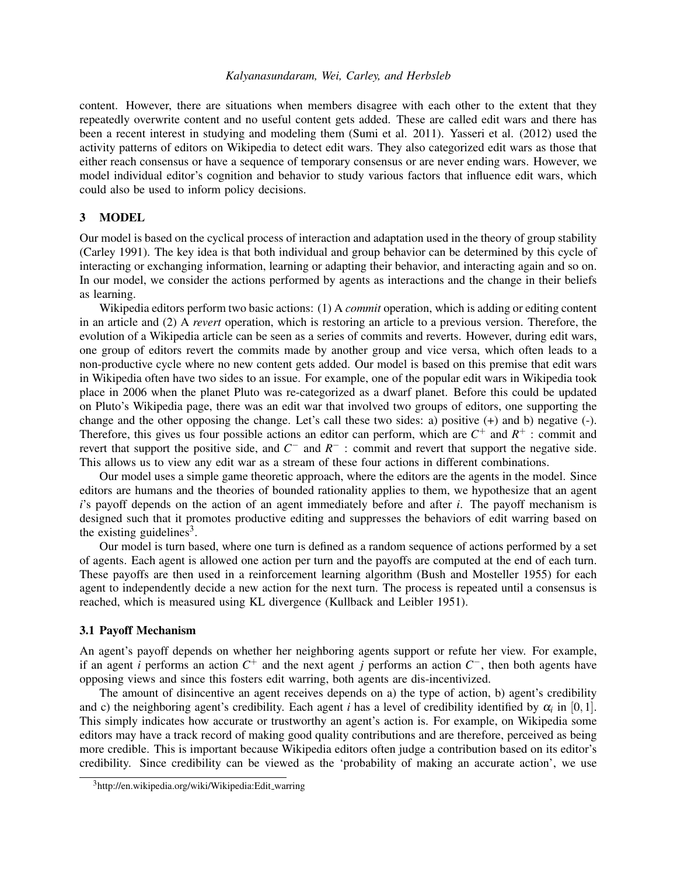content. However, there are situations when members disagree with each other to the extent that they repeatedly overwrite content and no useful content gets added. These are called edit wars and there has been a recent interest in studying and modeling them [\(Sumi et al. 2011\)](#page-11-9). [Yasseri et al. \(2012\)](#page-11-10) used the activity patterns of editors on Wikipedia to detect edit wars. They also categorized edit wars as those that either reach consensus or have a sequence of temporary consensus or are never ending wars. However, we model individual editor's cognition and behavior to study various factors that influence edit wars, which could also be used to inform policy decisions.

## <span id="page-2-0"></span>3 MODEL

Our model is based on the cyclical process of interaction and adaptation used in the theory of group stability [\(Carley 1991\)](#page-10-7). The key idea is that both individual and group behavior can be determined by this cycle of interacting or exchanging information, learning or adapting their behavior, and interacting again and so on. In our model, we consider the actions performed by agents as interactions and the change in their beliefs as learning.

Wikipedia editors perform two basic actions: (1) A *commit* operation, which is adding or editing content in an article and (2) A *revert* operation, which is restoring an article to a previous version. Therefore, the evolution of a Wikipedia article can be seen as a series of commits and reverts. However, during edit wars, one group of editors revert the commits made by another group and vice versa, which often leads to a non-productive cycle where no new content gets added. Our model is based on this premise that edit wars in Wikipedia often have two sides to an issue. For example, one of the popular edit wars in Wikipedia took place in 2006 when the planet Pluto was re-categorized as a dwarf planet. Before this could be updated on Pluto's Wikipedia page, there was an edit war that involved two groups of editors, one supporting the change and the other opposing the change. Let's call these two sides: a) positive (+) and b) negative (-). Therefore, this gives us four possible actions an editor can perform, which are  $C^+$  and  $R^+$ : commit and revert that support the positive side, and *C*<sup>−</sup> and *R*<sup>−</sup>: commit and revert that support the negative side. This allows us to view any edit war as a stream of these four actions in different combinations.

Our model uses a simple game theoretic approach, where the editors are the agents in the model. Since editors are humans and the theories of bounded rationality applies to them, we hypothesize that an agent *i*'s payoff depends on the action of an agent immediately before and after *i*. The payoff mechanism is designed such that it promotes productive editing and suppresses the behaviors of edit warring based on the existing guidelines<sup>[3](#page-2-1)</sup>.

Our model is turn based, where one turn is defined as a random sequence of actions performed by a set of agents. Each agent is allowed one action per turn and the payoffs are computed at the end of each turn. These payoffs are then used in a reinforcement learning algorithm [\(Bush and Mosteller 1955\)](#page-10-1) for each agent to independently decide a new action for the next turn. The process is repeated until a consensus is reached, which is measured using KL divergence [\(Kullback and Leibler 1951\)](#page-11-3).

### 3.1 Payoff Mechanism

An agent's payoff depends on whether her neighboring agents support or refute her view. For example, if an agent *i* performs an action  $C^+$  and the next agent *j* performs an action  $C^-$ , then both agents have opposing views and since this fosters edit warring, both agents are dis-incentivized.

The amount of disincentive an agent receives depends on a) the type of action, b) agent's credibility and c) the neighboring agent's credibility. Each agent *i* has a level of credibility identified by  $\alpha_i$  in [0,1]. This simply indicates how accurate or trustworthy an agent's action is. For example, on Wikipedia some editors may have a track record of making good quality contributions and are therefore, perceived as being more credible. This is important because Wikipedia editors often judge a contribution based on its editor's credibility. Since credibility can be viewed as the 'probability of making an accurate action', we use

<span id="page-2-1"></span><sup>3</sup>http://en.wikipedia.org/wiki/Wikipedia:Edit\_warring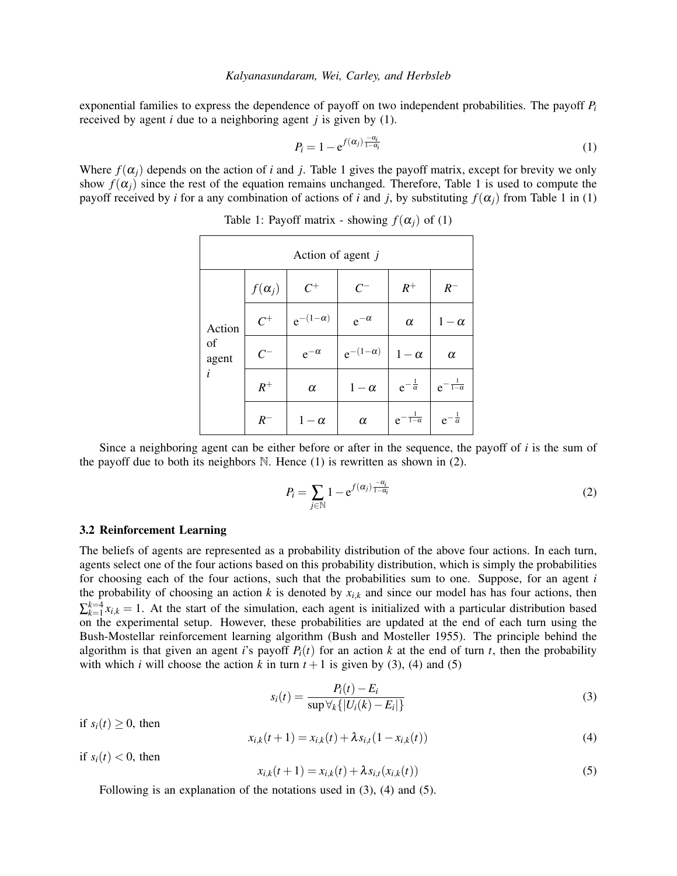exponential families to express the dependence of payoff on two independent probabilities. The payoff *P<sup>i</sup>* received by agent *i* due to a neighboring agent *j* is given by [\(1\)](#page-3-0).

<span id="page-3-0"></span>
$$
P_i = 1 - e^{f(\alpha_j) \frac{-\alpha_i}{1 - \alpha_i}} \tag{1}
$$

Where  $f(\alpha_i)$  depends on the action of *i* and *j*. Table [1](#page-3-1) gives the payoff matrix, except for brevity we only show  $f(\alpha_i)$  since the rest of the equation remains unchanged. Therefore, Table [1](#page-3-1) is used to compute the payoff received by *i* for a any combination of actions of *i* and *j*, by substituting  $f(\alpha_i)$  from Table [1](#page-3-1) in [\(1\)](#page-3-0)

| Action of agent j          |               |                   |                   |                           |                           |  |
|----------------------------|---------------|-------------------|-------------------|---------------------------|---------------------------|--|
| Action<br>of<br>agent<br>i | $f(\alpha_j)$ | $C^+$             | $C^{-}$           | $R^+$                     | $R^-$                     |  |
|                            | $C^+$         | $e^{-(1-\alpha)}$ | $e^{-\alpha}$     | $\alpha$                  | $1-\alpha$                |  |
|                            | $C^{-}$       | $e^{-\alpha}$     | $e^{-(1-\alpha)}$ | $1-\alpha$                | $\alpha$                  |  |
|                            | $R^+$         | $\alpha$          | $1-\alpha$        | $e^{-\frac{1}{\alpha}}$   | $e^{-\frac{1}{1-\alpha}}$ |  |
|                            | $R^-$         | $1-\alpha$        | $\alpha$          | $e^{-\frac{1}{1-\alpha}}$ | $e^{-\frac{1}{\alpha}}$   |  |

<span id="page-3-1"></span>Table 1: Payoff matrix - showing  $f(\alpha_i)$  of [\(1\)](#page-3-0)

Since a neighboring agent can be either before or after in the sequence, the payoff of *i* is the sum of the payoff due to both its neighbors  $\mathbb N$ . Hence [\(1\)](#page-3-0) is rewritten as shown in [\(2\)](#page-3-2).

<span id="page-3-2"></span>
$$
P_i = \sum_{j \in \mathbb{N}} 1 - e^{f(\alpha_j) \frac{-\alpha_i}{1 - \alpha_i}} \tag{2}
$$

#### 3.2 Reinforcement Learning

The beliefs of agents are represented as a probability distribution of the above four actions. In each turn, agents select one of the four actions based on this probability distribution, which is simply the probabilities for choosing each of the four actions, such that the probabilities sum to one. Suppose, for an agent *i* the probability of choosing an action  $k$  is denoted by  $x_{i,k}$  and since our model has has four actions, then  $\sum_{k=1}^{k=4} x_{i,k} = 1$ . At the start of the simulation, each agent is initialized with a particular distribution based on the experimental setup. However, these probabilities are updated at the end of each turn using the Bush-Mostellar reinforcement learning algorithm [\(Bush and Mosteller 1955\)](#page-10-1). The principle behind the algorithm is that given an agent *i*'s payoff  $P_i(t)$  for an action *k* at the end of turn *t*, then the probability with which *i* will choose the action *k* in turn  $t + 1$  is given by [\(3\)](#page-3-3), [\(4\)](#page-3-4) and [\(5\)](#page-3-5)

<span id="page-3-3"></span>
$$
s_i(t) = \frac{P_i(t) - E_i}{\sup \forall_k \{ |U_i(k) - E_i| \}}
$$
(3)

if  $s_i(t) \geq 0$ , then

<span id="page-3-4"></span>
$$
x_{i,k}(t+1) = x_{i,k}(t) + \lambda s_{i,t}(1 - x_{i,k}(t))
$$
\n(4)

if  $s_i(t) < 0$ , then

<span id="page-3-5"></span>
$$
x_{i,k}(t+1) = x_{i,k}(t) + \lambda s_{i,t}(x_{i,k}(t))
$$
\n(5)

Following is an explanation of the notations used in [\(3\)](#page-3-3), [\(4\)](#page-3-4) and [\(5\)](#page-3-5).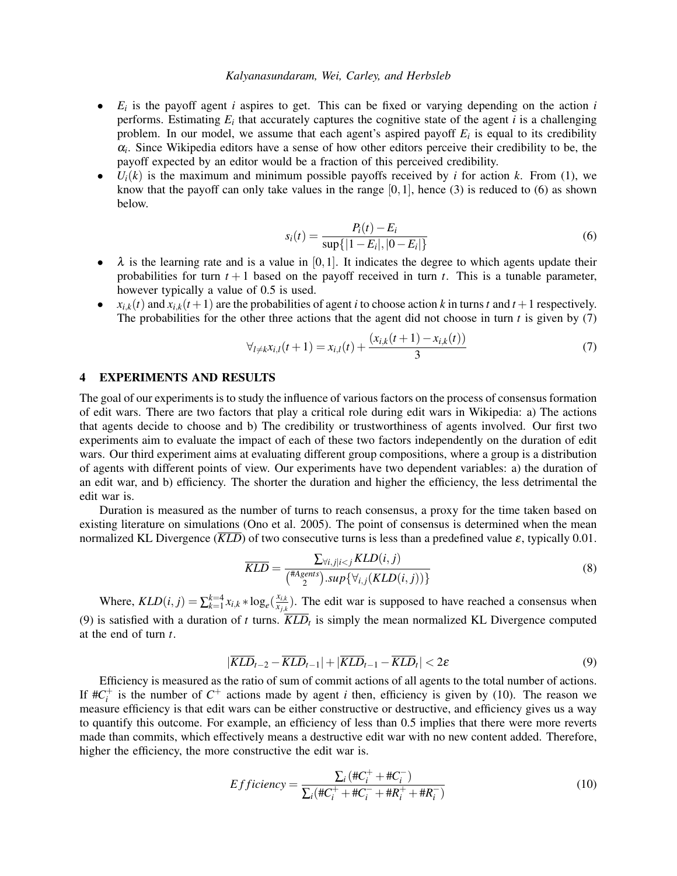- *E<sup>i</sup>* is the payoff agent *i* aspires to get. This can be fixed or varying depending on the action *i* performs. Estimating  $E_i$  that accurately captures the cognitive state of the agent  $i$  is a challenging problem. In our model, we assume that each agent's aspired payoff  $E_i$  is equal to its credibility  $\alpha_i$ . Since Wikipedia editors have a sense of how other editors perceive their credibility to be, the payoff expected by an editor would be a fraction of this perceived credibility.
- $U_i(k)$  is the maximum and minimum possible payoffs received by *i* for action *k*. From [\(1\)](#page-3-0), we know that the payoff can only take values in the range  $[0,1]$ , hence [\(3\)](#page-3-3) is reduced to [\(6\)](#page-4-1) as shown below.

<span id="page-4-1"></span>
$$
s_i(t) = \frac{P_i(t) - E_i}{\sup\{|1 - E_i|, |0 - E_i|\}}
$$
(6)

- $\lambda$  is the learning rate and is a value in [0,1]. It indicates the degree to which agents update their probabilities for turn  $t + 1$  based on the payoff received in turn  $t$ . This is a tunable parameter, however typically a value of 0.5 is used.
- $x_{i,k}(t)$  and  $x_{i,k}(t+1)$  are the probabilities of agent *i* to choose action *k* in turns *t* and  $t+1$  respectively. The probabilities for the other three actions that the agent did not choose in turn  $t$  is given by  $(7)$

<span id="page-4-2"></span>
$$
\forall_{l \neq k} x_{i,l}(t+1) = x_{i,l}(t) + \frac{(x_{i,k}(t+1) - x_{i,k}(t))}{3} \tag{7}
$$

## <span id="page-4-0"></span>4 EXPERIMENTS AND RESULTS

The goal of our experiments is to study the influence of various factors on the process of consensus formation of edit wars. There are two factors that play a critical role during edit wars in Wikipedia: a) The actions that agents decide to choose and b) The credibility or trustworthiness of agents involved. Our first two experiments aim to evaluate the impact of each of these two factors independently on the duration of edit wars. Our third experiment aims at evaluating different group compositions, where a group is a distribution of agents with different points of view. Our experiments have two dependent variables: a) the duration of an edit war, and b) efficiency. The shorter the duration and higher the efficiency, the less detrimental the edit war is.

Duration is measured as the number of turns to reach consensus, a proxy for the time taken based on existing literature on simulations [\(Ono et al. 2005\)](#page-11-7). The point of consensus is determined when the mean normalized KL Divergence ( $\overline{KLD}$ ) of two consecutive turns is less than a predefined value  $\varepsilon$ , typically 0.01.

$$
\overline{KLD} = \frac{\sum_{\forall i,j|i(8)
$$

Where,  $KLD(i, j) = \sum_{k=1}^{k=4} x_{i,k} * log_e(\frac{x_{i,k}}{x_{i,k}})$  $\frac{x_{i,k}}{x_{j,k}}$ ). The edit war is supposed to have reached a consensus when [\(9\)](#page-4-3) is satisfied with a duration of *t* turns.  $\overline{KLD_t}$  is simply the mean normalized KL Divergence computed at the end of turn *t*.

<span id="page-4-3"></span>
$$
|\overline{KLD}_{t-2} - \overline{KLD}_{t-1}| + |\overline{KLD}_{t-1} - \overline{KLD}_t| < 2\varepsilon
$$
\n(9)

Efficiency is measured as the ratio of sum of commit actions of all agents to the total number of actions. If  $\#C_i^+$  is the number of  $C^+$  actions made by agent *i* then, efficiency is given by [\(10\)](#page-4-4). The reason we measure efficiency is that edit wars can be either constructive or destructive, and efficiency gives us a way to quantify this outcome. For example, an efficiency of less than 0.5 implies that there were more reverts made than commits, which effectively means a destructive edit war with no new content added. Therefore, higher the efficiency, the more constructive the edit war is.

<span id="page-4-4"></span>
$$
Efficiency = \frac{\sum_{i} (\#C_{i}^{+} + \#C_{i}^{-})}{\sum_{i} (\#C_{i}^{+} + \#C_{i}^{-} + \#R_{i}^{+} + \#R_{i}^{-})}
$$
(10)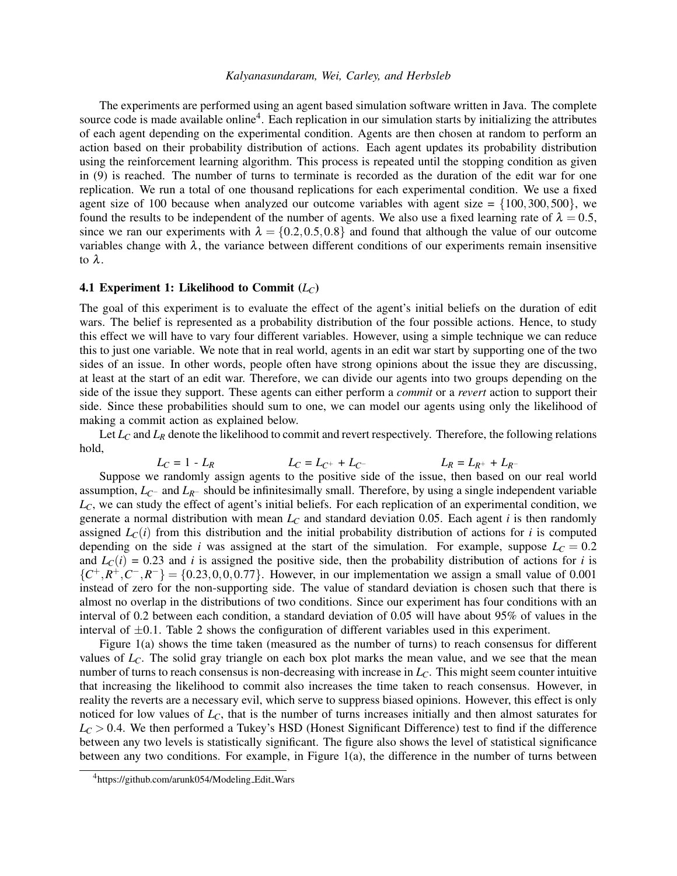The experiments are performed using an agent based simulation software written in Java. The complete source code is made available online<sup>[4](#page-5-0)</sup>. Each replication in our simulation starts by initializing the attributes of each agent depending on the experimental condition. Agents are then chosen at random to perform an action based on their probability distribution of actions. Each agent updates its probability distribution using the reinforcement learning algorithm. This process is repeated until the stopping condition as given in [\(9\)](#page-4-3) is reached. The number of turns to terminate is recorded as the duration of the edit war for one replication. We run a total of one thousand replications for each experimental condition. We use a fixed agent size of 100 because when analyzed our outcome variables with agent size  $= \{100, 300, 500\}$ , we found the results to be independent of the number of agents. We also use a fixed learning rate of  $\lambda = 0.5$ , since we ran our experiments with  $\lambda = \{0.2, 0.5, 0.8\}$  and found that although the value of our outcome variables change with  $\lambda$ , the variance between different conditions of our experiments remain insensitive to λ.

### 4.1 Experiment 1: Likelihood to Commit (*LC*)

The goal of this experiment is to evaluate the effect of the agent's initial beliefs on the duration of edit wars. The belief is represented as a probability distribution of the four possible actions. Hence, to study this effect we will have to vary four different variables. However, using a simple technique we can reduce this to just one variable. We note that in real world, agents in an edit war start by supporting one of the two sides of an issue. In other words, people often have strong opinions about the issue they are discussing, at least at the start of an edit war. Therefore, we can divide our agents into two groups depending on the side of the issue they support. These agents can either perform a *commit* or a *revert* action to support their side. Since these probabilities should sum to one, we can model our agents using only the likelihood of making a commit action as explained below.

Let  $L_c$  and  $L_R$  denote the likelihood to commit and revert respectively. Therefore, the following relations hold,

$$
L_C = 1 - L_R
$$
  $L_C = L_{C^+} + L_{C^-}$   $L_R = L_{R^+} + L_{R^-}$ 

Suppose we randomly assign agents to the positive side of the issue, then based on our real world assumption,  $L_{C}$ − and  $L_{R}$ − should be infinitesimally small. Therefore, by using a single independent variable *LC*, we can study the effect of agent's initial beliefs. For each replication of an experimental condition, we generate a normal distribution with mean *L<sup>C</sup>* and standard deviation 0.05. Each agent *i* is then randomly assigned  $L_C(i)$  from this distribution and the initial probability distribution of actions for *i* is computed depending on the side *i* was assigned at the start of the simulation. For example, suppose  $L<sub>C</sub> = 0.2$ and  $L_C(i) = 0.23$  and *i* is assigned the positive side, then the probability distribution of actions for *i* is  $\{C^+, R^+, C^-, R^-\} = \{0.23, 0, 0, 0.77\}$ . However, in our implementation we assign a small value of 0.001 instead of zero for the non-supporting side. The value of standard deviation is chosen such that there is almost no overlap in the distributions of two conditions. Since our experiment has four conditions with an interval of 0.2 between each condition, a standard deviation of 0.05 will have about 95% of values in the interval of  $\pm 0.1$ . Table [2](#page-6-0) shows the configuration of different variables used in this experiment.

Figure [1\(](#page-6-1)a) shows the time taken (measured as the number of turns) to reach consensus for different values of *LC*. The solid gray triangle on each box plot marks the mean value, and we see that the mean number of turns to reach consensus is non-decreasing with increase in *LC*. This might seem counter intuitive that increasing the likelihood to commit also increases the time taken to reach consensus. However, in reality the reverts are a necessary evil, which serve to suppress biased opinions. However, this effect is only noticed for low values of  $L_c$ , that is the number of turns increases initially and then almost saturates for  $L_c$  > 0.4. We then performed a Tukey's HSD (Honest Significant Difference) test to find if the difference between any two levels is statistically significant. The figure also shows the level of statistical significance between any two conditions. For example, in Figure [1\(](#page-6-1)a), the difference in the number of turns between

<span id="page-5-0"></span><sup>4</sup>https://github.com/arunk054/Modeling Edit Wars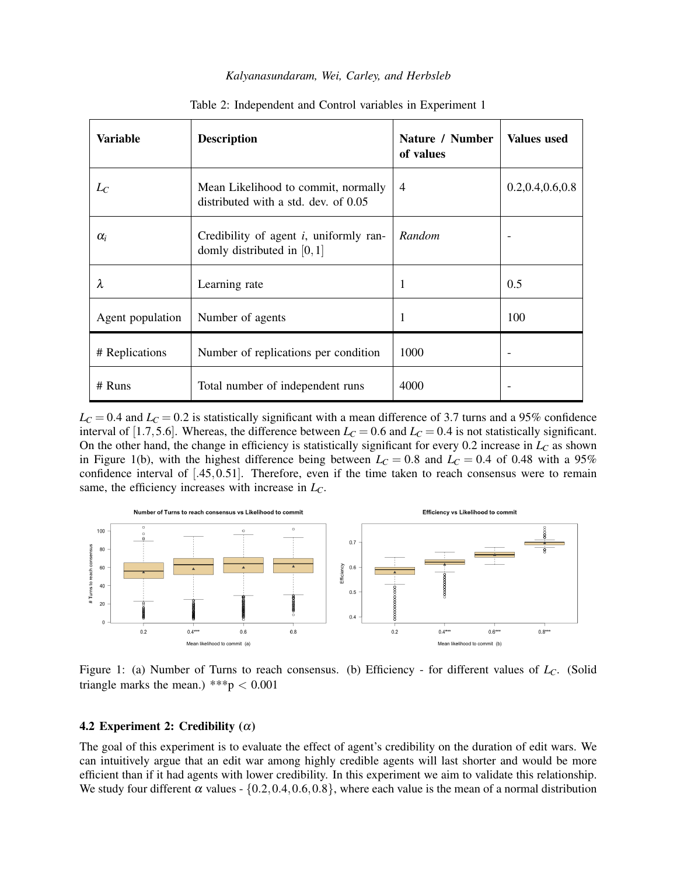| Variable         | <b>Description</b>                                                          | Nature / Number<br>of values | <b>Values</b> used |
|------------------|-----------------------------------------------------------------------------|------------------------------|--------------------|
| $L_C$            | Mean Likelihood to commit, normally<br>distributed with a std. dev. of 0.05 | $\overline{4}$               | 0.2, 0.4, 0.6, 0.8 |
| $\alpha_i$       | Credibility of agent $i$ , uniformly ran-<br>domly distributed in $[0,1]$   | Random                       |                    |
| λ                | Learning rate                                                               | 1                            | 0.5                |
| Agent population | Number of agents                                                            | $\mathbf{1}$                 | 100                |
| # Replications   | Number of replications per condition                                        | 1000                         |                    |
| $#$ Runs         | Total number of independent runs                                            | 4000                         |                    |

<span id="page-6-0"></span>Table 2: Independent and Control variables in Experiment 1

 $L_c = 0.4$  and  $L_c = 0.2$  is statistically significant with a mean difference of 3.7 turns and a 95% confidence interval of [1.7,5.6]. Whereas, the difference between  $L_C = 0.6$  and  $L_C = 0.4$  is not statistically significant. On the other hand, the change in efficiency is statistically significant for every 0.2 increase in *L<sup>C</sup>* as shown in Figure [1\(](#page-6-1)b), with the highest difference being between  $L<sub>C</sub> = 0.8$  and  $L<sub>C</sub> = 0.4$  of 0.48 with a 95% confidence interval of [.45,0.51]. Therefore, even if the time taken to reach consensus were to remain same, the efficiency increases with increase in *LC*.



<span id="page-6-1"></span>Figure 1: (a) Number of Turns to reach consensus. (b) Efficiency - for different values of *LC*. (Solid triangle marks the mean.) \*\*\*p  $< 0.001$ 

#### 4.2 Experiment 2: Credibility  $(\alpha)$

The goal of this experiment is to evaluate the effect of agent's credibility on the duration of edit wars. We can intuitively argue that an edit war among highly credible agents will last shorter and would be more efficient than if it had agents with lower credibility. In this experiment we aim to validate this relationship. We study four different  $\alpha$  values - {0.2,0.4,0.6,0.8}, where each value is the mean of a normal distribution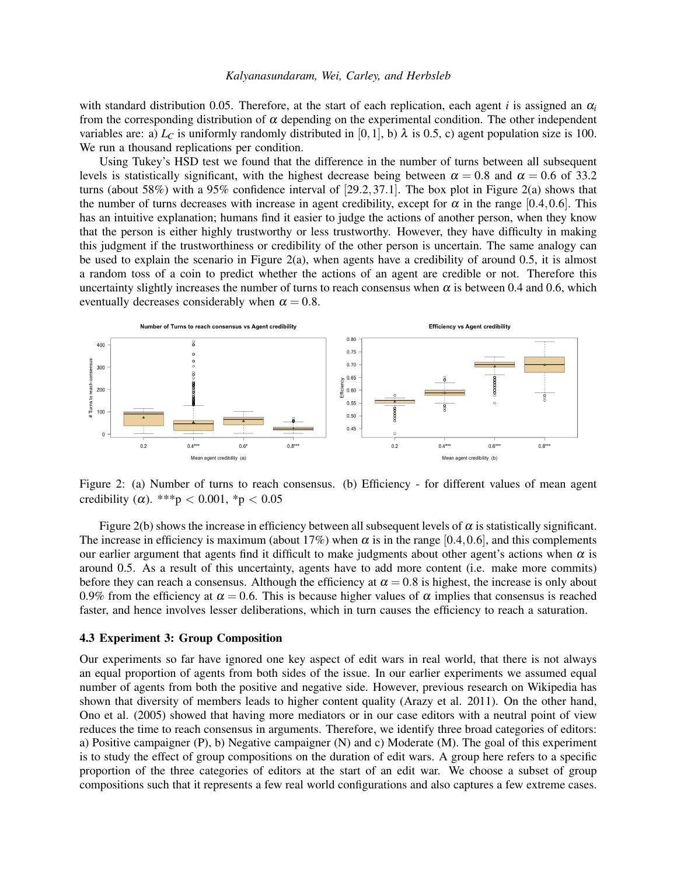with standard distribution 0.05. Therefore, at the start of each replication, each agent *i* is assigned an  $\alpha_i$ from the corresponding distribution of  $\alpha$  depending on the experimental condition. The other independent variables are: a)  $L<sub>C</sub>$  is uniformly randomly distributed in [0,1], b)  $\lambda$  is 0.5, c) agent population size is 100. We run a thousand replications per condition.

Using Tukey's HSD test we found that the difference in the number of turns between all subsequent levels is statistically significant, with the highest decrease being between  $\alpha = 0.8$  and  $\alpha = 0.6$  of 33.2 turns (about 58%) with a 95% confidence interval of [29.2,37.1]. The box plot in Figure [2\(](#page-7-0)a) shows that the number of turns decreases with increase in agent credibility, except for  $\alpha$  in the range [0.4,0.6]. This has an intuitive explanation; humans find it easier to judge the actions of another person, when they know that the person is either highly trustworthy or less trustworthy. However, they have difficulty in making this judgment if the trustworthiness or credibility of the other person is uncertain. The same analogy can be used to explain the scenario in Figure [2\(](#page-7-0)a), when agents have a credibility of around 0.5, it is almost a random toss of a coin to predict whether the actions of an agent are credible or not. Therefore this uncertainty slightly increases the number of turns to reach consensus when  $\alpha$  is between 0.4 and 0.6, which eventually decreases considerably when  $\alpha = 0.8$ .



<span id="page-7-0"></span>Figure 2: (a) Number of turns to reach consensus. (b) Efficiency - for different values of mean agent credibility ( $\alpha$ ). \*\*\*p < 0.001, \*p < 0.05

Figure [2\(](#page-7-0)b) shows the increase in efficiency between all subsequent levels of  $\alpha$  is statistically significant. The increase in efficiency is maximum (about 17%) when  $\alpha$  is in the range [0.4,0.6], and this complements our earlier argument that agents find it difficult to make judgments about other agent's actions when  $\alpha$  is around 0.5. As a result of this uncertainty, agents have to add more content (i.e. make more commits) before they can reach a consensus. Although the efficiency at  $\alpha = 0.8$  is highest, the increase is only about 0.9% from the efficiency at  $\alpha = 0.6$ . This is because higher values of  $\alpha$  implies that consensus is reached faster, and hence involves lesser deliberations, which in turn causes the efficiency to reach a saturation.

## 4.3 Experiment 3: Group Composition

Our experiments so far have ignored one key aspect of edit wars in real world, that there is not always an equal proportion of agents from both sides of the issue. In our earlier experiments we assumed equal number of agents from both the positive and negative side. However, previous research on Wikipedia has shown that diversity of members leads to higher content quality [\(Arazy et al. 2011\)](#page-10-8). On the other hand, [Ono et al. \(2005\)](#page-11-7) showed that having more mediators or in our case editors with a neutral point of view reduces the time to reach consensus in arguments. Therefore, we identify three broad categories of editors: a) Positive campaigner (P), b) Negative campaigner (N) and c) Moderate (M). The goal of this experiment is to study the effect of group compositions on the duration of edit wars. A group here refers to a specific proportion of the three categories of editors at the start of an edit war. We choose a subset of group compositions such that it represents a few real world configurations and also captures a few extreme cases.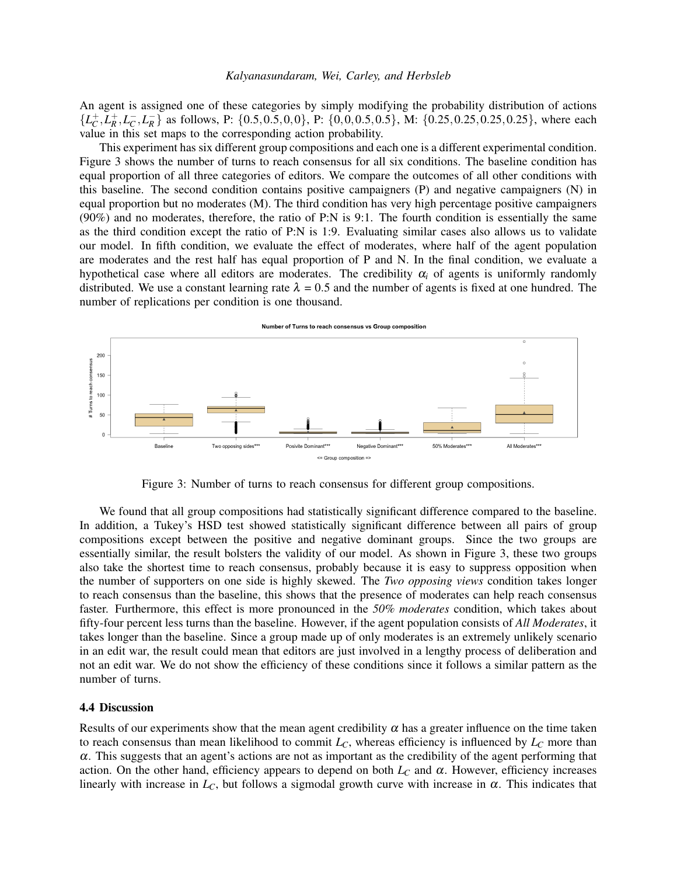An agent is assigned one of these categories by simply modifying the probability distribution of actions  $\{L_C^+, L_R^+, L_C^-, L_R^-\}$  as follows, P:  $\{0.5, 0.5, 0.0\}$ , P:  $\{0.0, 0.5, 0.5\}$ , M:  $\{0.25, 0.25, 0.25, 0.25\}$ , where each value in this set maps to the corresponding action probability.

This experiment has six different group compositions and each one is a different experimental condition. Figure [3](#page-8-0) shows the number of turns to reach consensus for all six conditions. The baseline condition has equal proportion of all three categories of editors. We compare the outcomes of all other conditions with this baseline. The second condition contains positive campaigners (P) and negative campaigners (N) in equal proportion but no moderates (M). The third condition has very high percentage positive campaigners (90%) and no moderates, therefore, the ratio of P:N is 9:1. The fourth condition is essentially the same as the third condition except the ratio of P:N is 1:9. Evaluating similar cases also allows us to validate our model. In fifth condition, we evaluate the effect of moderates, where half of the agent population are moderates and the rest half has equal proportion of P and N. In the final condition, we evaluate a hypothetical case where all editors are moderates. The credibility  $\alpha_i$  of agents is uniformly randomly distributed. We use a constant learning rate  $\lambda = 0.5$  and the number of agents is fixed at one hundred. The number of replications per condition is one thousand.



<span id="page-8-0"></span>Figure 3: Number of turns to reach consensus for different group compositions.

We found that all group compositions had statistically significant difference compared to the baseline. In addition, a Tukey's HSD test showed statistically significant difference between all pairs of group compositions except between the positive and negative dominant groups. Since the two groups are essentially similar, the result bolsters the validity of our model. As shown in Figure [3,](#page-8-0) these two groups also take the shortest time to reach consensus, probably because it is easy to suppress opposition when the number of supporters on one side is highly skewed. The *Two opposing views* condition takes longer to reach consensus than the baseline, this shows that the presence of moderates can help reach consensus faster. Furthermore, this effect is more pronounced in the *50% moderates* condition, which takes about fifty-four percent less turns than the baseline. However, if the agent population consists of *All Moderates*, it takes longer than the baseline. Since a group made up of only moderates is an extremely unlikely scenario in an edit war, the result could mean that editors are just involved in a lengthy process of deliberation and not an edit war. We do not show the efficiency of these conditions since it follows a similar pattern as the number of turns.

#### 4.4 Discussion

Results of our experiments show that the mean agent credibility  $\alpha$  has a greater influence on the time taken to reach consensus than mean likelihood to commit  $L_C$ , whereas efficiency is influenced by  $L_C$  more than  $\alpha$ . This suggests that an agent's actions are not as important as the credibility of the agent performing that action. On the other hand, efficiency appears to depend on both  $L<sub>C</sub>$  and  $\alpha$ . However, efficiency increases linearly with increase in  $L_c$ , but follows a sigmodal growth curve with increase in  $\alpha$ . This indicates that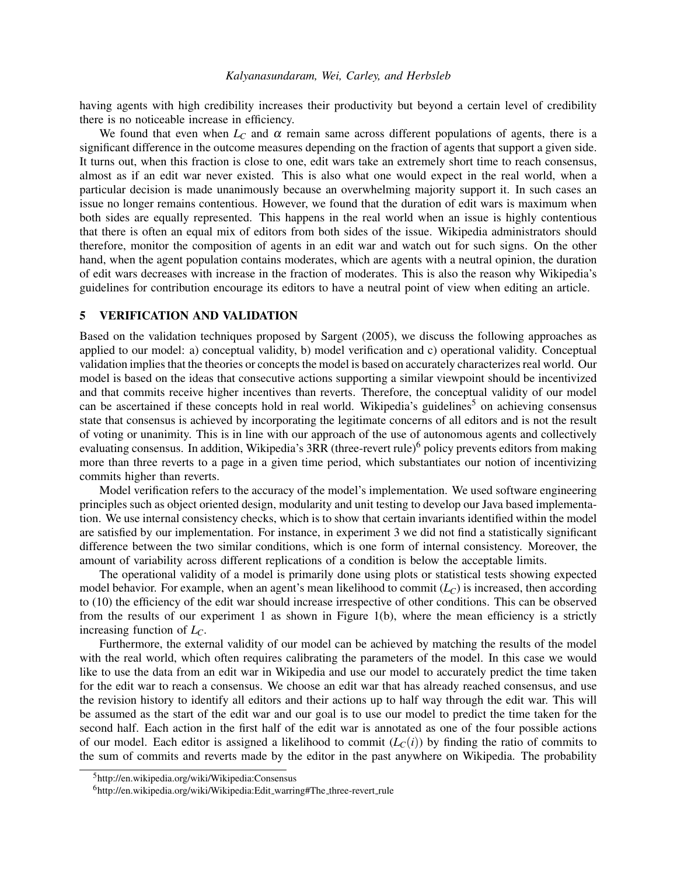having agents with high credibility increases their productivity but beyond a certain level of credibility there is no noticeable increase in efficiency.

We found that even when  $L<sub>C</sub>$  and  $\alpha$  remain same across different populations of agents, there is a significant difference in the outcome measures depending on the fraction of agents that support a given side. It turns out, when this fraction is close to one, edit wars take an extremely short time to reach consensus, almost as if an edit war never existed. This is also what one would expect in the real world, when a particular decision is made unanimously because an overwhelming majority support it. In such cases an issue no longer remains contentious. However, we found that the duration of edit wars is maximum when both sides are equally represented. This happens in the real world when an issue is highly contentious that there is often an equal mix of editors from both sides of the issue. Wikipedia administrators should therefore, monitor the composition of agents in an edit war and watch out for such signs. On the other hand, when the agent population contains moderates, which are agents with a neutral opinion, the duration of edit wars decreases with increase in the fraction of moderates. This is also the reason why Wikipedia's guidelines for contribution encourage its editors to have a neutral point of view when editing an article.

## <span id="page-9-0"></span>5 VERIFICATION AND VALIDATION

Based on the validation techniques proposed by [Sargent \(2005\),](#page-11-11) we discuss the following approaches as applied to our model: a) conceptual validity, b) model verification and c) operational validity. Conceptual validation implies that the theories or concepts the model is based on accurately characterizes real world. Our model is based on the ideas that consecutive actions supporting a similar viewpoint should be incentivized and that commits receive higher incentives than reverts. Therefore, the conceptual validity of our model can be ascertained if these concepts hold in real world. Wikipedia's guidelines<sup>[5](#page-9-1)</sup> on achieving consensus state that consensus is achieved by incorporating the legitimate concerns of all editors and is not the result of voting or unanimity. This is in line with our approach of the use of autonomous agents and collectively evaluating consensus. In addition, Wikipedia's 3RR (three-revert rule)<sup>[6](#page-9-2)</sup> policy prevents editors from making more than three reverts to a page in a given time period, which substantiates our notion of incentivizing commits higher than reverts.

Model verification refers to the accuracy of the model's implementation. We used software engineering principles such as object oriented design, modularity and unit testing to develop our Java based implementation. We use internal consistency checks, which is to show that certain invariants identified within the model are satisfied by our implementation. For instance, in experiment 3 we did not find a statistically significant difference between the two similar conditions, which is one form of internal consistency. Moreover, the amount of variability across different replications of a condition is below the acceptable limits.

The operational validity of a model is primarily done using plots or statistical tests showing expected model behavior. For example, when an agent's mean likelihood to commit (*LC*) is increased, then according to [\(10\)](#page-4-4) the efficiency of the edit war should increase irrespective of other conditions. This can be observed from the results of our experiment 1 as shown in Figure [1\(](#page-6-1)b), where the mean efficiency is a strictly increasing function of *LC*.

Furthermore, the external validity of our model can be achieved by matching the results of the model with the real world, which often requires calibrating the parameters of the model. In this case we would like to use the data from an edit war in Wikipedia and use our model to accurately predict the time taken for the edit war to reach a consensus. We choose an edit war that has already reached consensus, and use the revision history to identify all editors and their actions up to half way through the edit war. This will be assumed as the start of the edit war and our goal is to use our model to predict the time taken for the second half. Each action in the first half of the edit war is annotated as one of the four possible actions of our model. Each editor is assigned a likelihood to commit  $(L<sub>C</sub>(i))$  by finding the ratio of commits to the sum of commits and reverts made by the editor in the past anywhere on Wikipedia. The probability

<span id="page-9-1"></span><sup>5</sup>http://en.wikipedia.org/wiki/Wikipedia:Consensus

<span id="page-9-2"></span><sup>&</sup>lt;sup>6</sup>http://en.wikipedia.org/wiki/Wikipedia:Edit\_warring#The\_three-revert\_rule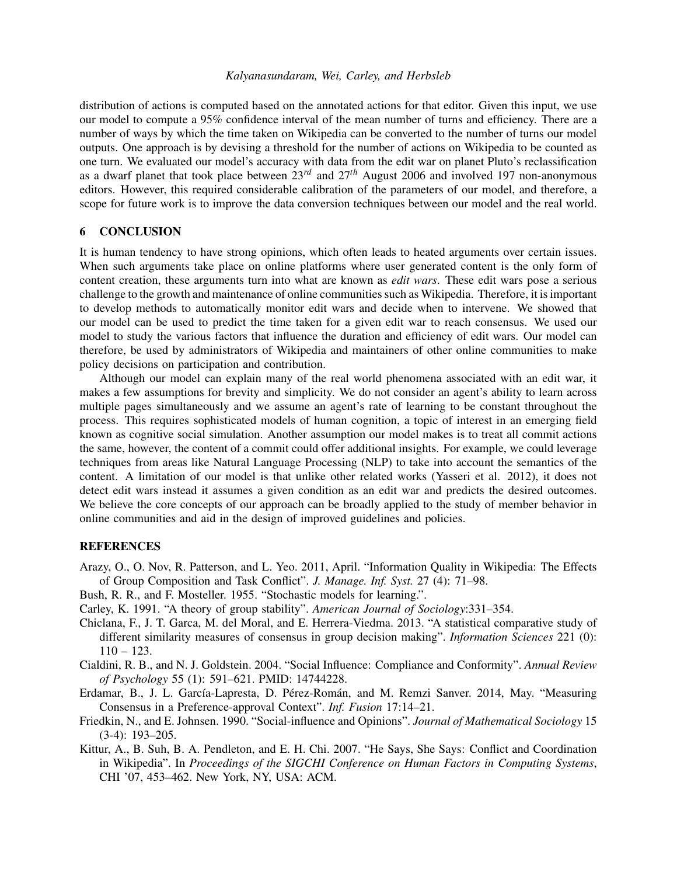distribution of actions is computed based on the annotated actions for that editor. Given this input, we use our model to compute a 95% confidence interval of the mean number of turns and efficiency. There are a number of ways by which the time taken on Wikipedia can be converted to the number of turns our model outputs. One approach is by devising a threshold for the number of actions on Wikipedia to be counted as one turn. We evaluated our model's accuracy with data from the edit war on planet Pluto's reclassification as a dwarf planet that took place between 23*rd* and 27*th* August 2006 and involved 197 non-anonymous editors. However, this required considerable calibration of the parameters of our model, and therefore, a scope for future work is to improve the data conversion techniques between our model and the real world.

## <span id="page-10-3"></span>6 CONCLUSION

It is human tendency to have strong opinions, which often leads to heated arguments over certain issues. When such arguments take place on online platforms where user generated content is the only form of content creation, these arguments turn into what are known as *edit wars*. These edit wars pose a serious challenge to the growth and maintenance of online communities such as Wikipedia. Therefore, it is important to develop methods to automatically monitor edit wars and decide when to intervene. We showed that our model can be used to predict the time taken for a given edit war to reach consensus. We used our model to study the various factors that influence the duration and efficiency of edit wars. Our model can therefore, be used by administrators of Wikipedia and maintainers of other online communities to make policy decisions on participation and contribution.

Although our model can explain many of the real world phenomena associated with an edit war, it makes a few assumptions for brevity and simplicity. We do not consider an agent's ability to learn across multiple pages simultaneously and we assume an agent's rate of learning to be constant throughout the process. This requires sophisticated models of human cognition, a topic of interest in an emerging field known as cognitive social simulation. Another assumption our model makes is to treat all commit actions the same, however, the content of a commit could offer additional insights. For example, we could leverage techniques from areas like Natural Language Processing (NLP) to take into account the semantics of the content. A limitation of our model is that unlike other related works [\(Yasseri et al. 2012\)](#page-11-10), it does not detect edit wars instead it assumes a given condition as an edit war and predicts the desired outcomes. We believe the core concepts of our approach can be broadly applied to the study of member behavior in online communities and aid in the design of improved guidelines and policies.

## **REFERENCES**

- <span id="page-10-8"></span>Arazy, O., O. Nov, R. Patterson, and L. Yeo. 2011, April. "Information Quality in Wikipedia: The Effects of Group Composition and Task Conflict". *J. Manage. Inf. Syst.* 27 (4): 71–98.
- <span id="page-10-1"></span>Bush, R. R., and F. Mosteller. 1955. "Stochastic models for learning.".
- <span id="page-10-7"></span>Carley, K. 1991. "A theory of group stability". *American Journal of Sociology*:331–354.
- <span id="page-10-4"></span>Chiclana, F., J. T. Garca, M. del Moral, and E. Herrera-Viedma. 2013. "A statistical comparative study of different similarity measures of consensus in group decision making". *Information Sciences* 221 (0):  $110 - 123$ .
- <span id="page-10-5"></span>Cialdini, R. B., and N. J. Goldstein. 2004. "Social Influence: Compliance and Conformity". *Annual Review of Psychology* 55 (1): 591–621. PMID: 14744228.
- <span id="page-10-2"></span>Erdamar, B., J. L. García-Lapresta, D. Pérez-Román, and M. Remzi Sanver. 2014, May. "Measuring Consensus in a Preference-approval Context". *Inf. Fusion* 17:14–21.
- <span id="page-10-6"></span>Friedkin, N., and E. Johnsen. 1990. "Social-influence and Opinions". *Journal of Mathematical Sociology* 15 (3-4): 193–205.
- <span id="page-10-0"></span>Kittur, A., B. Suh, B. A. Pendleton, and E. H. Chi. 2007. "He Says, She Says: Conflict and Coordination in Wikipedia". In *Proceedings of the SIGCHI Conference on Human Factors in Computing Systems*, CHI '07, 453–462. New York, NY, USA: ACM.